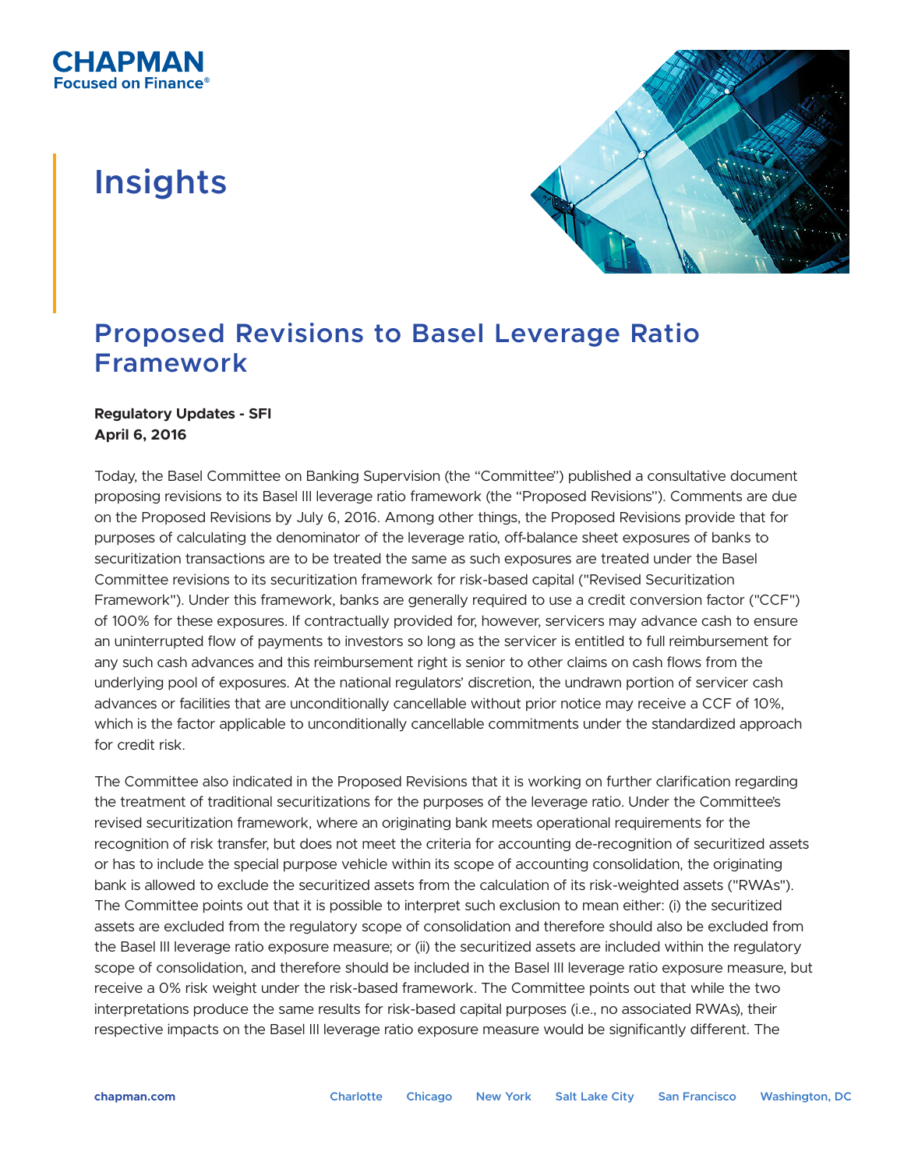## **Insights**



## **Proposed Revisions to Basel Leverage Ratio Framework**

## **Regulatory Updates - SFI April 6, 2016**

Today, the Basel Committee on Banking Supervision (the "Committee") published a consultative document proposing revisions to its Basel III leverage ratio framework (the "Proposed Revisions"). Comments are due on the Proposed Revisions by July 6, 2016. Among other things, the Proposed Revisions provide that for purposes of calculating the denominator of the leverage ratio, off-balance sheet exposures of banks to securitization transactions are to be treated the same as such exposures are treated under the Basel Committee revisions to its securitization framework for risk-based capital ("Revised Securitization Framework"). Under this framework, banks are generally required to use a credit conversion factor ("CCF") of 100% for these exposures. If contractually provided for, however, servicers may advance cash to ensure an uninterrupted flow of payments to investors so long as the servicer is entitled to full reimbursement for any such cash advances and this reimbursement right is senior to other claims on cash flows from the underlying pool of exposures. At the national regulators' discretion, the undrawn portion of servicer cash advances or facilities that are unconditionally cancellable without prior notice may receive a CCF of 10%, which is the factor applicable to unconditionally cancellable commitments under the standardized approach for credit risk.

The Committee also indicated in the Proposed Revisions that it is working on further clarification regarding the treatment of traditional securitizations for the purposes of the leverage ratio. Under the Committee's revised securitization framework, where an originating bank meets operational requirements for the recognition of risk transfer, but does not meet the criteria for accounting de-recognition of securitized assets or has to include the special purpose vehicle within its scope of accounting consolidation, the originating bank is allowed to exclude the securitized assets from the calculation of its risk-weighted assets ("RWAs"). The Committee points out that it is possible to interpret such exclusion to mean either: (i) the securitized assets are excluded from the regulatory scope of consolidation and therefore should also be excluded from the Basel III leverage ratio exposure measure; or (ii) the securitized assets are included within the regulatory scope of consolidation, and therefore should be included in the Basel III leverage ratio exposure measure, but receive a 0% risk weight under the risk-based framework. The Committee points out that while the two interpretations produce the same results for risk-based capital purposes (i.e., no associated RWAs), their respective impacts on the Basel III leverage ratio exposure measure would be significantly different. The